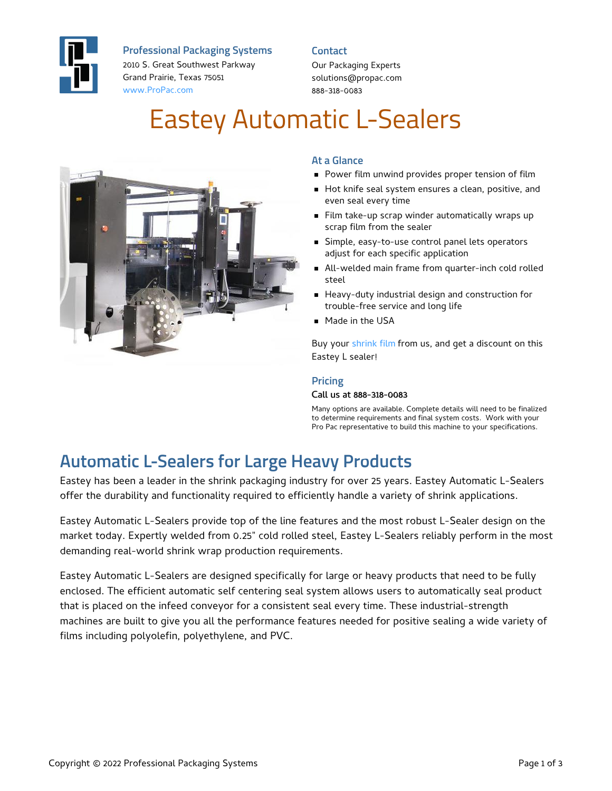

**Professional Packaging Systems**

2010 S. Great Southwest Parkway Grand Prairie, Texas 75051 [www.ProPac.com](https://www.propac.com/)

#### **Contact**

Our Packaging Experts solutions@propac.com 888-318-0083

# Eastey Automatic L-Sealers



#### **At a Glance**

- **Power film unwind provides proper tension of film**
- Hot knife seal system ensures a clean, positive, and even seal every time
- **Film take-up scrap winder automatically wraps up** scrap film from the sealer
- Simple, easy-to-use control panel lets operators adjust for each specific application
- All-welded main frame from quarter-inch cold rolled steel
- Heavy-duty industrial design and construction for trouble-free service and long life
- Made in the USA

Buy your [shrink](file:///packaging-materials/shrink-wrap-film/) film from us, and get a discount on this Eastey L sealer!

#### **Pricing**

#### Call us at 888-318-0083

Many options are available. Complete details will need to be finalized to determine requirements and final system costs. Work with your Pro Pac representative to build this machine to your specifications.

### **Automatic L-Sealers for Large Heavy Products**

Eastey has been a leader in the shrink packaging industry for over 25 years. Eastey Automatic L-Sealers offer the durability and functionality required to efficiently handle a variety of shrink applications.

Eastey Automatic L-Sealers provide top of the line features and the most robust L-Sealer design on the market today. Expertly welded from 0.25" cold rolled steel, Eastey L-Sealers reliably perform in the most demanding real-world shrink wrap production requirements.

Eastey Automatic L-Sealers are designed specifically for large or heavy products that need to be fully enclosed. The efficient automatic self centering seal system allows users to automatically seal product that is placed on the infeed conveyor for a consistent seal every time. These industrial-strength machines are built to give you all the performance features needed for positive sealing a wide variety of films including polyolefin, polyethylene, and PVC.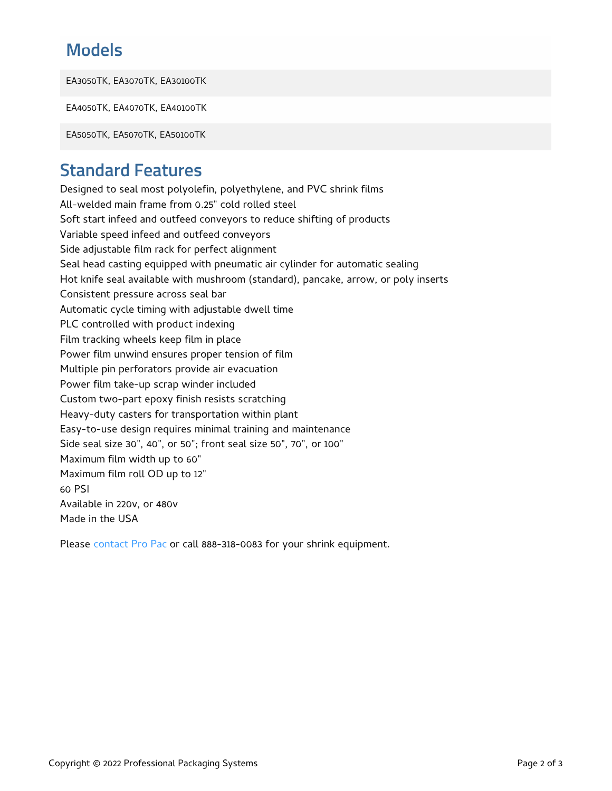### **Models**

EA3050TK, EA3070TK, EA30100TK

EA4050TK, EA4070TK, EA40100TK

EA5050TK, EA5070TK, EA50100TK

### **Standard Features**

Designed to seal most polyolefin, polyethylene, and PVC shrink films All-welded main frame from 0.25" cold rolled steel Soft start infeed and outfeed conveyors to reduce shifting of products Variable speed infeed and outfeed conveyors Side adjustable film rack for perfect alignment Seal head casting equipped with pneumatic air cylinder for automatic sealing Hot knife seal available with mushroom (standard), pancake, arrow, or poly inserts Consistent pressure across seal bar Automatic cycle timing with adjustable dwell time PLC controlled with product indexing Film tracking wheels keep film in place Power film unwind ensures proper tension of film Multiple pin perforators provide air evacuation Power film take-up scrap winder included Custom two-part epoxy finish resists scratching Heavy-duty casters for transportation within plant Easy-to-use design requires minimal training and maintenance Side seal size 30", 40", or 50"; front seal size 50", 70", or 100" Maximum film width up to 60" Maximum film roll OD up to 12" 60 PSI Available in 220v, or 480v Made in the USA

Please [contact](file:///contact/) Pro Pac or call 888-318-0083 for your shrink equipment.